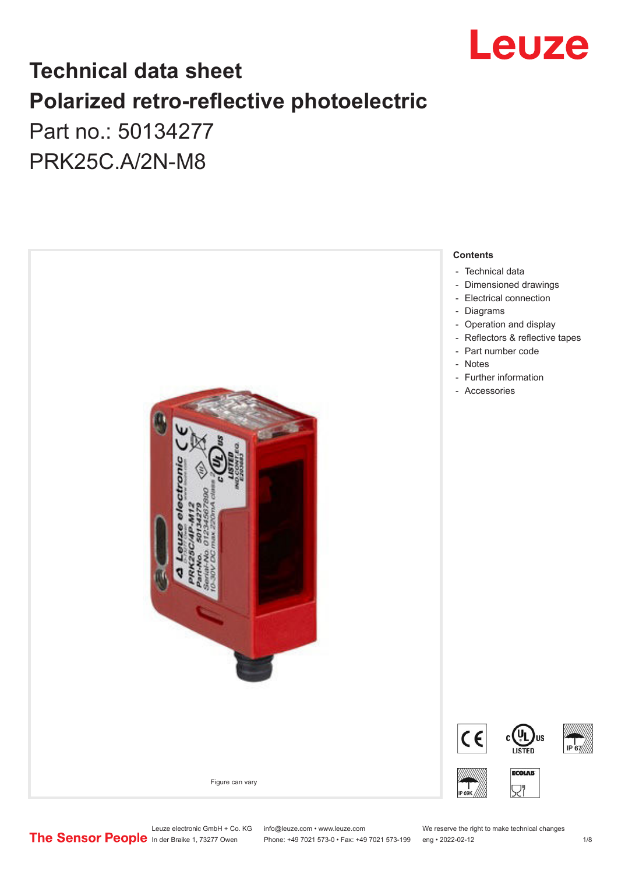

## **Technical data sheet Polarized retro-reflective photoelectric**  Part no.: 50134277

PRK25C.A/2N-M8



## Leuze electronic GmbH + Co. KG info@leuze.com • www.leuze.com We reserve the right to make technical changes<br>
The Sensor People in der Braike 1, 73277 Owen Phone: +49 7021 573-0 • Fax: +49 7021 573-199 eng • 2022-02-12

Phone: +49 7021 573-0 • Fax: +49 7021 573-199 eng • 2022-02-12 12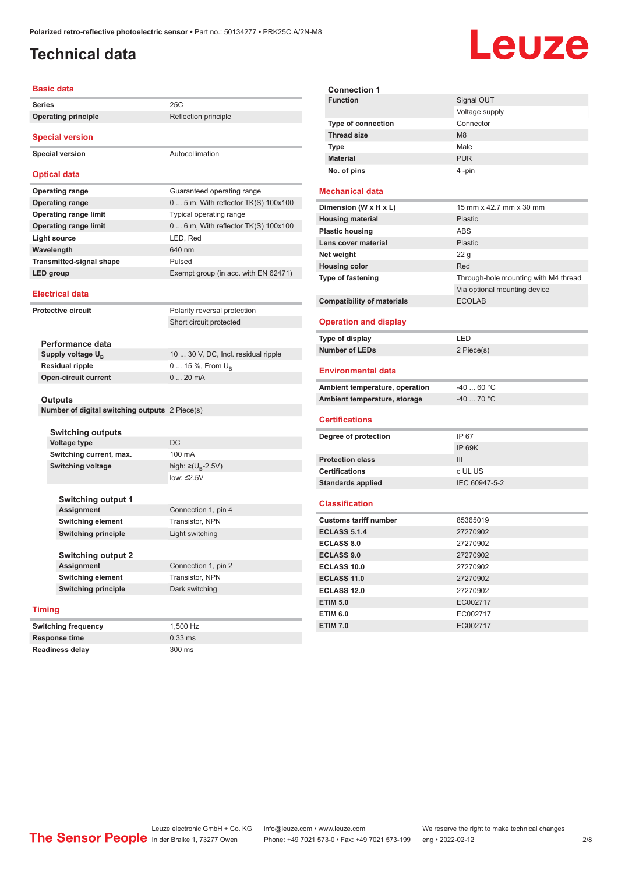#### <span id="page-1-0"></span>**Technical data**

## Leuze

| <b>Basic data</b>                              |                                        |  |  |
|------------------------------------------------|----------------------------------------|--|--|
| <b>Series</b>                                  | 25C                                    |  |  |
| <b>Operating principle</b>                     | Reflection principle                   |  |  |
| <b>Special version</b>                         |                                        |  |  |
| <b>Special version</b>                         | Autocollimation                        |  |  |
| <b>Optical data</b>                            |                                        |  |  |
| <b>Operating range</b>                         | Guaranteed operating range             |  |  |
| <b>Operating range</b>                         | $05$ m, With reflector TK(S) 100x100   |  |  |
| <b>Operating range limit</b>                   | Typical operating range                |  |  |
| <b>Operating range limit</b>                   | $06$ m, With reflector TK(S) $100x100$ |  |  |
| Light source                                   | LED, Red                               |  |  |
| Wavelength                                     | 640 nm                                 |  |  |
| <b>Transmitted-signal shape</b>                | Pulsed                                 |  |  |
| LED group                                      | Exempt group (in acc. with EN 62471)   |  |  |
| <b>Electrical data</b>                         |                                        |  |  |
| <b>Protective circuit</b>                      | Polarity reversal protection           |  |  |
|                                                | Short circuit protected                |  |  |
|                                                |                                        |  |  |
| Performance data                               |                                        |  |  |
| Supply voltage $U_{B}$                         | 10  30 V, DC, Incl. residual ripple    |  |  |
| <b>Residual ripple</b>                         | 0  15 %, From U <sub>p</sub>           |  |  |
| <b>Open-circuit current</b>                    | 020mA                                  |  |  |
|                                                |                                        |  |  |
| <b>Outputs</b>                                 |                                        |  |  |
| Number of digital switching outputs 2 Piece(s) |                                        |  |  |
|                                                |                                        |  |  |
| Switching outputs<br>Voltage type              | DC                                     |  |  |
| Switching current, max.                        | 100 mA                                 |  |  |
| <b>Switching voltage</b>                       | high: $\geq (U_{B} - 2.5V)$            |  |  |
|                                                | low: $\leq$ 2.5V                       |  |  |
|                                                |                                        |  |  |
| <b>Switching output 1</b>                      |                                        |  |  |
| <b>Assignment</b>                              | Connection 1, pin 4                    |  |  |
| <b>Switching element</b>                       | Transistor, NPN                        |  |  |
| <b>Switching principle</b>                     | Light switching                        |  |  |
|                                                |                                        |  |  |
| <b>Switching output 2</b>                      |                                        |  |  |
| <b>Assignment</b>                              | Connection 1, pin 2                    |  |  |
| <b>Switching element</b>                       | Transistor, NPN                        |  |  |
| <b>Switching principle</b>                     | Dark switching                         |  |  |
| <b>Timing</b>                                  |                                        |  |  |
| <b>Switching frequency</b>                     | 1,500 Hz                               |  |  |
| Resnonse time                                  | $0.33 \, \text{ms}$                    |  |  |

**Readiness delay** 300 ms

| <b>Connection 1</b>       |                |
|---------------------------|----------------|
| <b>Function</b>           | Signal OUT     |
|                           | Voltage supply |
| <b>Type of connection</b> | Connector      |
| <b>Thread size</b>        | M <sub>8</sub> |
| <b>Type</b>               | Male           |
| <b>Material</b>           | <b>PUR</b>     |
| No. of pins               | 4-pin          |

#### **Mechanical data**

| Dimension (W x H x L)             | 15 mm x 42.7 mm x 30 mm              |
|-----------------------------------|--------------------------------------|
| <b>Housing material</b>           | Plastic                              |
| <b>Plastic housing</b>            | ABS                                  |
| Lens cover material               | Plastic                              |
| Net weight                        | 22 <sub>q</sub>                      |
| <b>Housing color</b>              | Red                                  |
| <b>Type of fastening</b>          | Through-hole mounting with M4 thread |
|                                   | Via optional mounting device         |
| <b>Compatibility of materials</b> | <b>ECOLAB</b>                        |
| <b>Operation and display</b>      |                                      |

| Type of display       | I FD       |
|-----------------------|------------|
| <b>Number of LEDs</b> | 2 Piece(s) |

#### **Environmental data**

| Ambient temperature, operation | -40  60 °C |
|--------------------------------|------------|
| Ambient temperature, storage   | -40  70 °C |

#### **Certifications**

i.

| Degree of protection     | IP 67         |
|--------------------------|---------------|
|                          | IP 69K        |
| <b>Protection class</b>  | Ш             |
| <b>Certifications</b>    | c UL US       |
| <b>Standards applied</b> | IEC 60947-5-2 |

#### **Classification**

| <b>Customs tariff number</b> | 85365019 |  |
|------------------------------|----------|--|
| <b>ECLASS 5.1.4</b>          | 27270902 |  |
| <b>ECLASS 8.0</b>            | 27270902 |  |
| <b>ECLASS 9.0</b>            | 27270902 |  |
| ECLASS 10.0                  | 27270902 |  |
| <b>ECLASS 11.0</b>           | 27270902 |  |
| ECLASS 12.0                  | 27270902 |  |
| <b>ETIM 5.0</b>              | EC002717 |  |
| <b>ETIM 6.0</b>              | EC002717 |  |
| <b>ETIM 7.0</b>              | EC002717 |  |

Leuze electronic GmbH + Co. KG info@leuze.com • www.leuze.com We reserve the right to make technical changes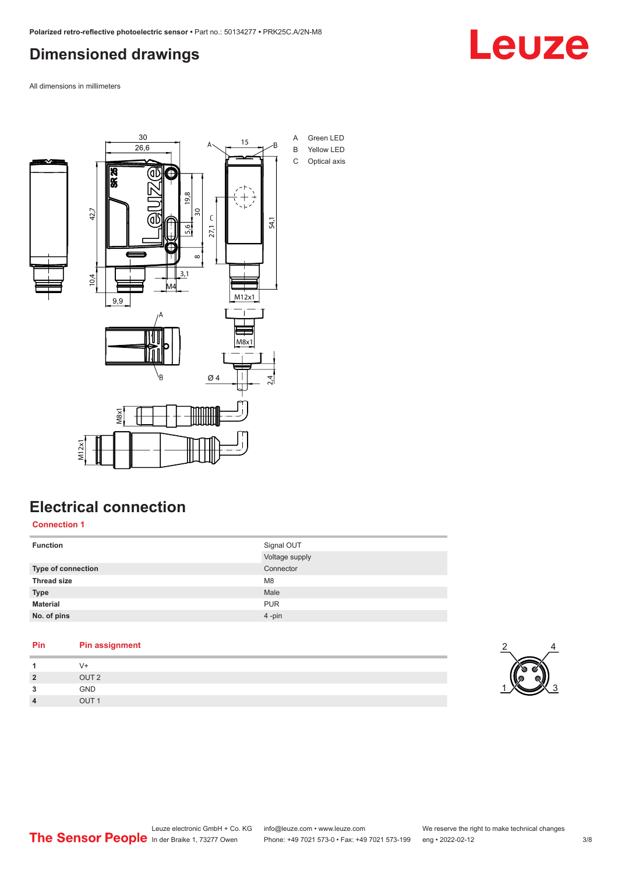### <span id="page-2-0"></span>**Dimensioned drawings**



All dimensions in millimeters



### **Electrical connection**

**Connection 1**

| <b>Function</b>    | Signal OUT     |
|--------------------|----------------|
|                    | Voltage supply |
| Type of connection | Connector      |
| <b>Thread size</b> | M <sub>8</sub> |
| <b>Type</b>        | Male           |
| <b>Material</b>    | <b>PUR</b>     |
| No. of pins        | 4-pin          |
|                    |                |

#### **Pin Pin assignment**

| 1              | V+               |
|----------------|------------------|
| $\overline{2}$ | OUT <sub>2</sub> |
| 3              | GND              |
| $\overline{4}$ | OUT <sub>1</sub> |

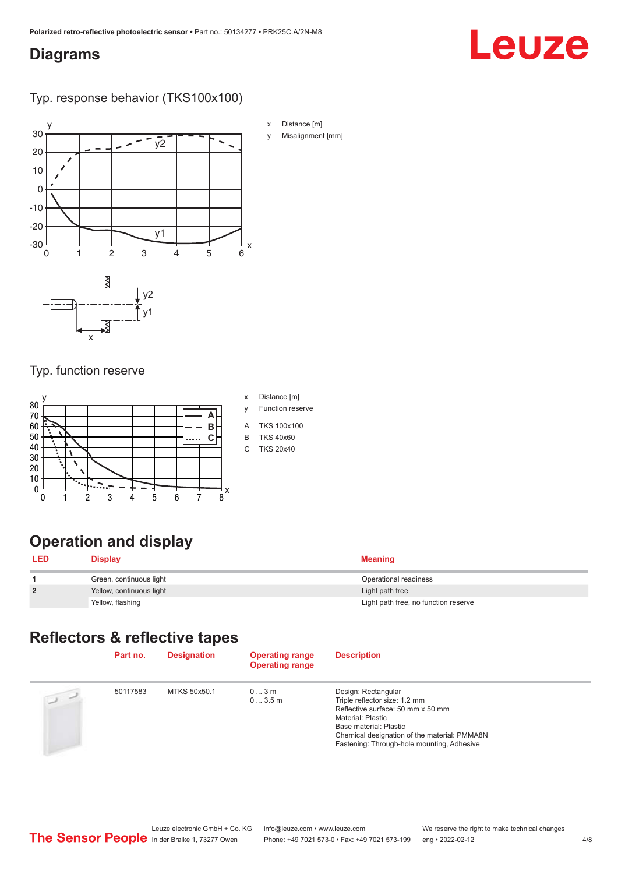#### <span id="page-3-0"></span>**Diagrams**

# Leuze

Typ. response behavior (TKS100x100)



#### Typ. function reserve



- 
- 

### **Operation and display**

| <b>LED</b>     | <b>Display</b>           | <b>Meaning</b>                       |
|----------------|--------------------------|--------------------------------------|
|                | Green, continuous light  | Operational readiness                |
| $\overline{2}$ | Yellow, continuous light | Light path free                      |
|                | Yellow, flashing         | Light path free, no function reserve |

#### **Reflectors & reflective tapes**

|                | Part no. | <b>Designation</b> | <b>Operating range</b><br><b>Operating range</b> | <b>Description</b>                                                                                                                                                                                                                     |
|----------------|----------|--------------------|--------------------------------------------------|----------------------------------------------------------------------------------------------------------------------------------------------------------------------------------------------------------------------------------------|
| $\overline{a}$ | 50117583 | MTKS 50x50.1       | 03m<br>03.5m                                     | Design: Rectangular<br>Triple reflector size: 1.2 mm<br>Reflective surface: 50 mm x 50 mm<br>Material: Plastic<br>Base material: Plastic<br>Chemical designation of the material: PMMA8N<br>Fastening: Through-hole mounting, Adhesive |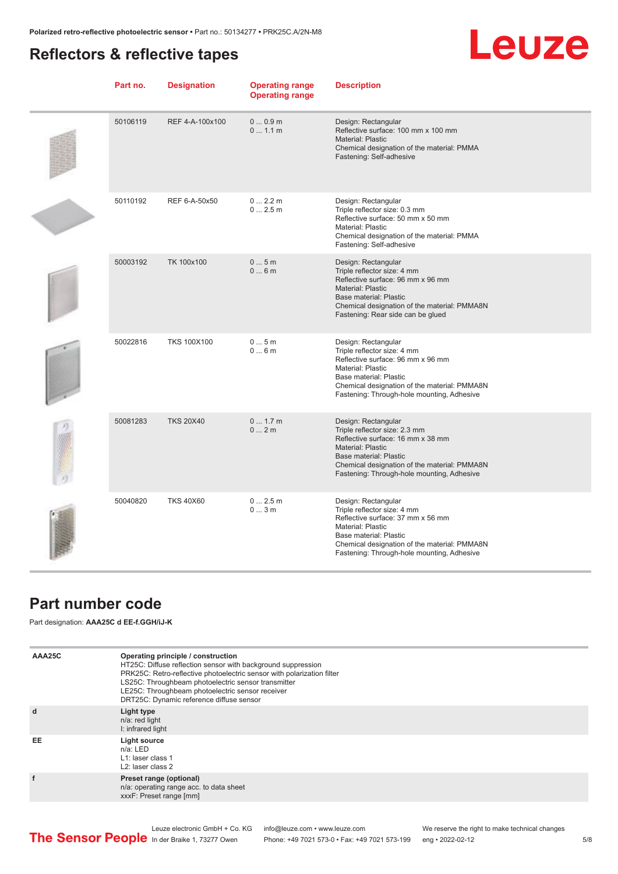### <span id="page-4-0"></span>**Reflectors & reflective tapes**

## **Leuze**

| Part no. | <b>Designation</b> | <b>Operating range</b><br><b>Operating range</b> | <b>Description</b>                                                                                                                                                                                                                                   |
|----------|--------------------|--------------------------------------------------|------------------------------------------------------------------------------------------------------------------------------------------------------------------------------------------------------------------------------------------------------|
| 50106119 | REF 4-A-100x100    | 00.9m<br>01.1 m                                  | Design: Rectangular<br>Reflective surface: 100 mm x 100 mm<br><b>Material: Plastic</b><br>Chemical designation of the material: PMMA<br>Fastening: Self-adhesive                                                                                     |
| 50110192 | REF 6-A-50x50      | 0 2.2 m<br>02.5m                                 | Design: Rectangular<br>Triple reflector size: 0.3 mm<br>Reflective surface: 50 mm x 50 mm<br><b>Material: Plastic</b><br>Chemical designation of the material: PMMA<br>Fastening: Self-adhesive                                                      |
| 50003192 | TK 100x100         | 05m<br>06m                                       | Design: Rectangular<br>Triple reflector size: 4 mm<br>Reflective surface: 96 mm x 96 mm<br><b>Material: Plastic</b><br><b>Base material: Plastic</b><br>Chemical designation of the material: PMMA8N<br>Fastening: Rear side can be glued            |
| 50022816 | <b>TKS 100X100</b> | 05m<br>06m                                       | Design: Rectangular<br>Triple reflector size: 4 mm<br>Reflective surface: 96 mm x 96 mm<br><b>Material: Plastic</b><br>Base material: Plastic<br>Chemical designation of the material: PMMA8N<br>Fastening: Through-hole mounting, Adhesive          |
| 50081283 | <b>TKS 20X40</b>   | 0 1.7 m<br>02m                                   | Design: Rectangular<br>Triple reflector size: 2.3 mm<br>Reflective surface: 16 mm x 38 mm<br><b>Material: Plastic</b><br><b>Base material: Plastic</b><br>Chemical designation of the material: PMMA8N<br>Fastening: Through-hole mounting, Adhesive |
| 50040820 | <b>TKS 40X60</b>   | 02.5m<br>03m                                     | Design: Rectangular<br>Triple reflector size: 4 mm<br>Reflective surface: 37 mm x 56 mm<br><b>Material: Plastic</b><br>Base material: Plastic<br>Chemical designation of the material: PMMA8N<br>Fastening: Through-hole mounting, Adhesive          |

#### **Part number code**

Part designation: **AAA25C d EE-f.GGH/iJ-K**

| AAA25C | Operating principle / construction<br>HT25C: Diffuse reflection sensor with background suppression<br>PRK25C: Retro-reflective photoelectric sensor with polarization filter<br>LS25C: Throughbeam photoelectric sensor transmitter<br>LE25C: Throughbeam photoelectric sensor receiver<br>DRT25C: Dynamic reference diffuse sensor |
|--------|-------------------------------------------------------------------------------------------------------------------------------------------------------------------------------------------------------------------------------------------------------------------------------------------------------------------------------------|
| d      | Light type<br>n/a: red light<br>I: infrared light                                                                                                                                                                                                                                                                                   |
| EE     | Light source<br>$n/a$ : LED<br>L1: laser class 1<br>L <sub>2</sub> : laser class 2                                                                                                                                                                                                                                                  |
| f      | Preset range (optional)<br>n/a: operating range acc. to data sheet<br>xxxF: Preset range [mm]                                                                                                                                                                                                                                       |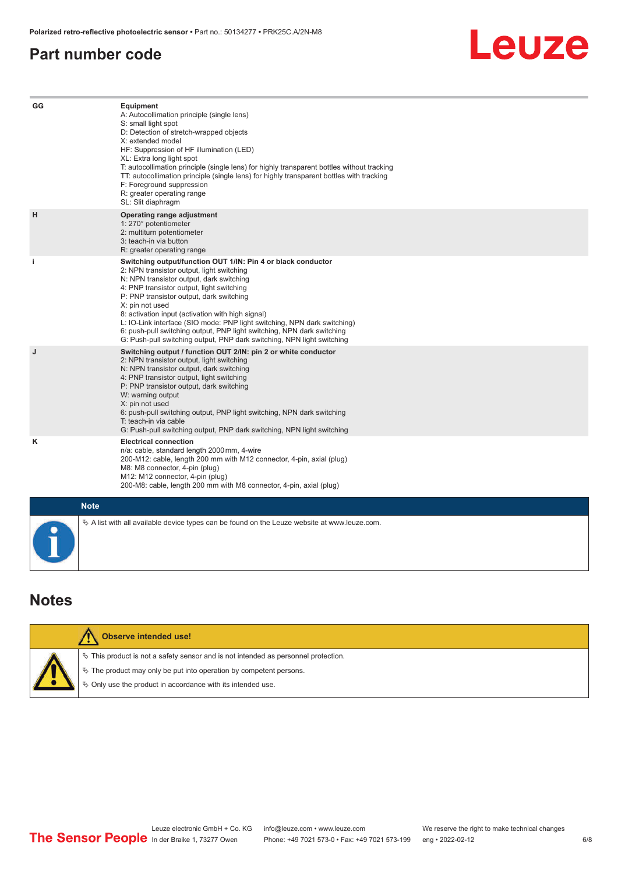#### <span id="page-5-0"></span>**Part number code**



| GG | Equipment<br>A: Autocollimation principle (single lens)<br>S: small light spot<br>D: Detection of stretch-wrapped objects<br>X: extended model<br>HF: Suppression of HF illumination (LED)<br>XL: Extra long light spot<br>T: autocollimation principle (single lens) for highly transparent bottles without tracking<br>TT: autocollimation principle (single lens) for highly transparent bottles with tracking<br>F: Foreground suppression<br>R: greater operating range<br>SL: Slit diaphragm                                                     |
|----|--------------------------------------------------------------------------------------------------------------------------------------------------------------------------------------------------------------------------------------------------------------------------------------------------------------------------------------------------------------------------------------------------------------------------------------------------------------------------------------------------------------------------------------------------------|
| H  | Operating range adjustment<br>1: 270° potentiometer<br>2: multiturn potentiometer<br>3: teach-in via button<br>R: greater operating range                                                                                                                                                                                                                                                                                                                                                                                                              |
| j. | Switching output/function OUT 1/IN: Pin 4 or black conductor<br>2: NPN transistor output, light switching<br>N: NPN transistor output, dark switching<br>4: PNP transistor output, light switching<br>P: PNP transistor output, dark switching<br>X: pin not used<br>8: activation input (activation with high signal)<br>L: IO-Link interface (SIO mode: PNP light switching, NPN dark switching)<br>6: push-pull switching output, PNP light switching, NPN dark switching<br>G: Push-pull switching output, PNP dark switching, NPN light switching |
| J  | Switching output / function OUT 2/IN: pin 2 or white conductor<br>2: NPN transistor output, light switching<br>N: NPN transistor output, dark switching<br>4: PNP transistor output, light switching<br>P: PNP transistor output, dark switching<br>W: warning output<br>X: pin not used<br>6: push-pull switching output, PNP light switching, NPN dark switching<br>T: teach-in via cable<br>G: Push-pull switching output, PNP dark switching, NPN light switching                                                                                  |
| κ  | <b>Electrical connection</b><br>n/a: cable, standard length 2000 mm, 4-wire<br>200-M12: cable, length 200 mm with M12 connector, 4-pin, axial (plug)<br>M8: M8 connector, 4-pin (plug)<br>M12: M12 connector, 4-pin (plug)<br>200-M8: cable, length 200 mm with M8 connector, 4-pin, axial (plug)                                                                                                                                                                                                                                                      |
|    | <b>Note</b>                                                                                                                                                                                                                                                                                                                                                                                                                                                                                                                                            |
|    | $\&$ A list with all available device types can be found on the Leuze website at www.leuze.com.                                                                                                                                                                                                                                                                                                                                                                                                                                                        |

### **Notes**

| Observe intended use!                                                                 |
|---------------------------------------------------------------------------------------|
| $\%$ This product is not a safety sensor and is not intended as personnel protection. |
| $\%$ The product may only be put into operation by competent persons.                 |
| ₿ Only use the product in accordance with its intended use.                           |
|                                                                                       |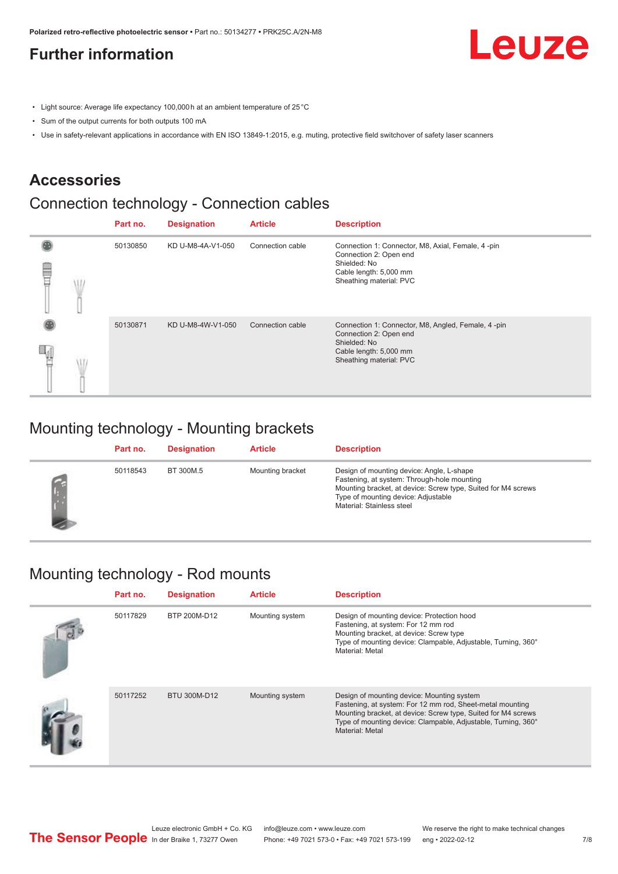### <span id="page-6-0"></span>**Further information**

- Light source: Average life expectancy 100,000 h at an ambient temperature of 25 °C
- Sum of the output currents for both outputs 100 mA
- Use in safety-relevant applications in accordance with EN ISO 13849-1:2015, e.g. muting, protective field switchover of safety laser scanners

#### **Accessories**

#### Connection technology - Connection cables

|  | Part no. | <b>Designation</b> | <b>Article</b>   | <b>Description</b>                                                                                                                                |
|--|----------|--------------------|------------------|---------------------------------------------------------------------------------------------------------------------------------------------------|
|  | 50130850 | KD U-M8-4A-V1-050  | Connection cable | Connection 1: Connector, M8, Axial, Female, 4-pin<br>Connection 2: Open end<br>Shielded: No<br>Cable length: 5,000 mm<br>Sheathing material: PVC  |
|  | 50130871 | KD U-M8-4W-V1-050  | Connection cable | Connection 1: Connector, M8, Angled, Female, 4-pin<br>Connection 2: Open end<br>Shielded: No<br>Cable length: 5,000 mm<br>Sheathing material: PVC |

#### Mounting technology - Mounting brackets

| Part no. | <b>Designation</b> | <b>Article</b>   | <b>Description</b>                                                                                                                                                                                                            |
|----------|--------------------|------------------|-------------------------------------------------------------------------------------------------------------------------------------------------------------------------------------------------------------------------------|
| 50118543 | BT 300M.5          | Mounting bracket | Design of mounting device: Angle, L-shape<br>Fastening, at system: Through-hole mounting<br>Mounting bracket, at device: Screw type, Suited for M4 screws<br>Type of mounting device: Adjustable<br>Material: Stainless steel |

#### Mounting technology - Rod mounts

| Part no. | <b>Designation</b> | <b>Article</b>  | <b>Description</b>                                                                                                                                                                                                                                           |
|----------|--------------------|-----------------|--------------------------------------------------------------------------------------------------------------------------------------------------------------------------------------------------------------------------------------------------------------|
| 50117829 | BTP 200M-D12       | Mounting system | Design of mounting device: Protection hood<br>Fastening, at system: For 12 mm rod<br>Mounting bracket, at device: Screw type<br>Type of mounting device: Clampable, Adjustable, Turning, 360°<br>Material: Metal                                             |
| 50117252 | BTU 300M-D12       | Mounting system | Design of mounting device: Mounting system<br>Fastening, at system: For 12 mm rod, Sheet-metal mounting<br>Mounting bracket, at device: Screw type, Suited for M4 screws<br>Type of mounting device: Clampable, Adjustable, Turning, 360°<br>Material: Metal |